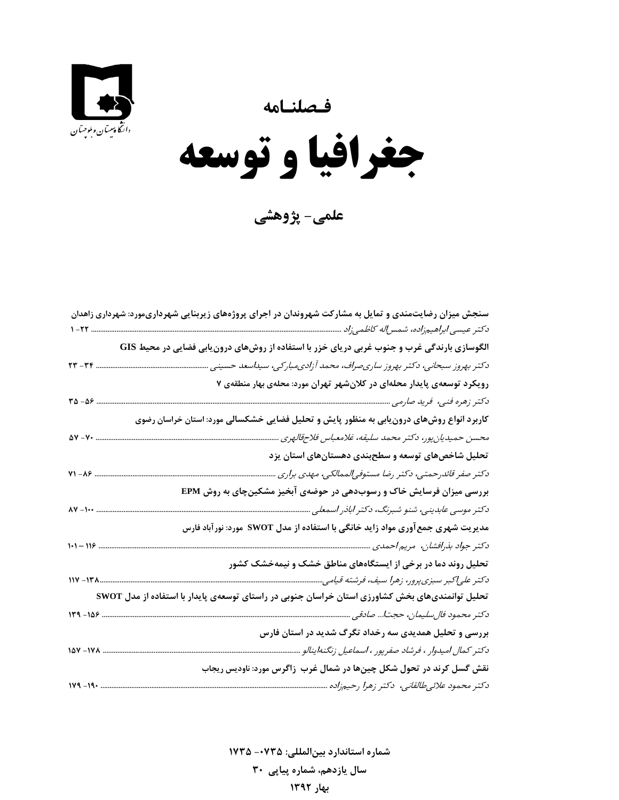**فـصلنـامه** 



**جغرافيا و توسعه** 

**علمي- پژوهشي** 

**شماره استاندارد بينالمللي: -0735 <sup>1735</sup> سال يازدهم، شماره پياپي 30 بهار 1392**